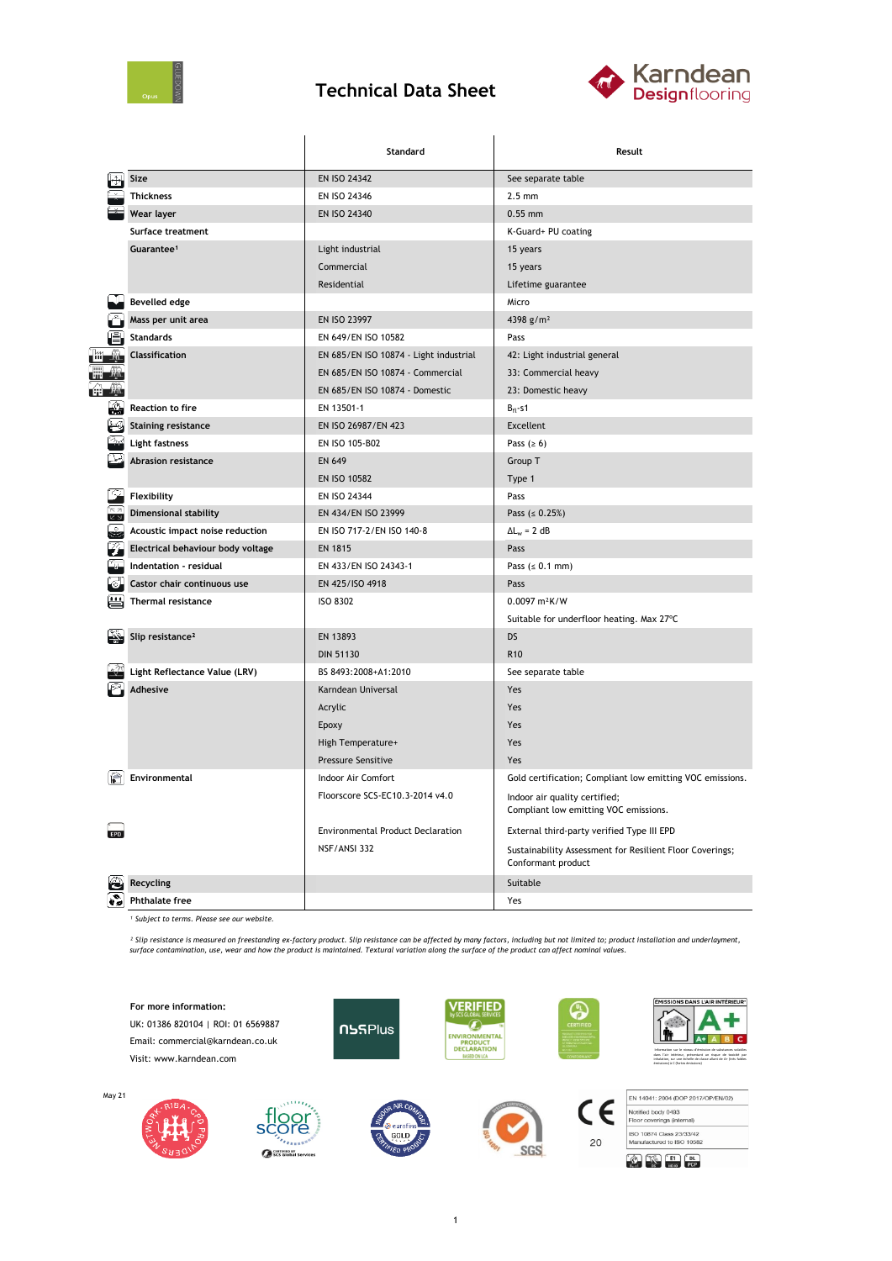

## **Technical Data Sheet**



|            |                                   | Standard                                 | Result                                                                         |  |  |
|------------|-----------------------------------|------------------------------------------|--------------------------------------------------------------------------------|--|--|
|            | Size                              | EN ISO 24342                             | See separate table                                                             |  |  |
|            | <b>Thickness</b>                  | EN ISO 24346                             | $2.5$ mm                                                                       |  |  |
|            | Wear layer                        | EN ISO 24340                             | $0.55$ mm                                                                      |  |  |
|            | Surface treatment                 |                                          | K-Guard+ PU coating                                                            |  |  |
|            | Guarantee <sup>1</sup>            | Light industrial                         | 15 years                                                                       |  |  |
|            |                                   | Commercial                               | 15 years                                                                       |  |  |
|            |                                   | Residential                              | Lifetime guarantee                                                             |  |  |
|            | <b>Bevelled edge</b>              |                                          | Micro                                                                          |  |  |
|            | Mass per unit area                | EN ISO 23997                             | 4398 g/m <sup>2</sup>                                                          |  |  |
|            | <b>Standards</b>                  | EN 649/EN ISO 10582                      | Pass                                                                           |  |  |
|            | Classification                    | EN 685/EN ISO 10874 - Light industrial   | 42: Light industrial general                                                   |  |  |
|            |                                   | EN 685/EN ISO 10874 - Commercial         | 33: Commercial heavy                                                           |  |  |
|            |                                   | EN 685/EN ISO 10874 - Domestic           | 23: Domestic heavy                                                             |  |  |
| 쐺          | <b>Reaction to fire</b>           | EN 13501-1                               | $B_{fl}$ -s1                                                                   |  |  |
|            | <b>Staining resistance</b>        | EN ISO 26987/EN 423                      | Excellent                                                                      |  |  |
|            | <b>Light fastness</b>             | EN ISO 105-B02                           | Pass $(≥ 6)$                                                                   |  |  |
|            | Abrasion resistance               | <b>EN 649</b>                            | Group T                                                                        |  |  |
|            |                                   | EN ISO 10582                             | Type 1                                                                         |  |  |
|            | Flexibility                       | EN ISO 24344                             | Pass                                                                           |  |  |
| لا غ       | <b>Dimensional stability</b>      | EN 434/EN ISO 23999                      | Pass ( $\leq 0.25\%$ )                                                         |  |  |
|            | Acoustic impact noise reduction   | EN ISO 717-2/EN ISO 140-8                | $\Delta L_w = 2 dB$                                                            |  |  |
|            | Electrical behaviour body voltage | <b>EN 1815</b>                           | Pass                                                                           |  |  |
|            | Indentation - residual            | EN 433/EN ISO 24343-1                    | Pass $(s 0.1 mm)$                                                              |  |  |
|            | Castor chair continuous use       | EN 425/ISO 4918                          | Pass                                                                           |  |  |
|            | Thermal resistance                | <b>ISO 8302</b>                          | $0.0097 m^2K/W$                                                                |  |  |
|            |                                   |                                          | Suitable for underfloor heating. Max 27°C                                      |  |  |
|            | Slip resistance <sup>2</sup>      | EN 13893                                 | <b>DS</b>                                                                      |  |  |
|            |                                   | <b>DIN 51130</b>                         | R <sub>10</sub>                                                                |  |  |
|            | Light Reflectance Value (LRV)     | BS 8493:2008+A1:2010                     | See separate table                                                             |  |  |
|            | Adhesive                          | Karndean Universal                       | Yes                                                                            |  |  |
|            |                                   | Acrylic                                  | Yes                                                                            |  |  |
|            |                                   | Epoxy                                    | Yes                                                                            |  |  |
|            |                                   | High Temperature+                        | Yes                                                                            |  |  |
|            |                                   | Pressure Sensitive                       | Yes                                                                            |  |  |
|            | Environmental                     | Indoor Air Comfort                       | Gold certification; Compliant low emitting VOC emissions.                      |  |  |
|            |                                   | Floorscore SCS-EC10.3-2014 v4.0          | Indoor air quality certified;<br>Compliant low emitting VOC emissions.         |  |  |
| <b>EPD</b> |                                   | <b>Environmental Product Declaration</b> | External third-party verified Type III EPD                                     |  |  |
|            |                                   | NSF/ANSI 332                             | Sustainability Assessment for Resilient Floor Coverings;<br>Conformant product |  |  |
|            | Recycling                         |                                          | Suitable                                                                       |  |  |
|            | <b>Phthalate free</b>             |                                          | Yes                                                                            |  |  |

*¹ Subject to terms. Please see our website.*

Ses Global Services

<sup>2</sup> Slip resistance is measured on freestanding ex-factory product. Slip resistance can be affected by many factors, including but not limited to; product installation and underlayment,<br>surface contamination, use, wear and



1

SGS

**ET DL**